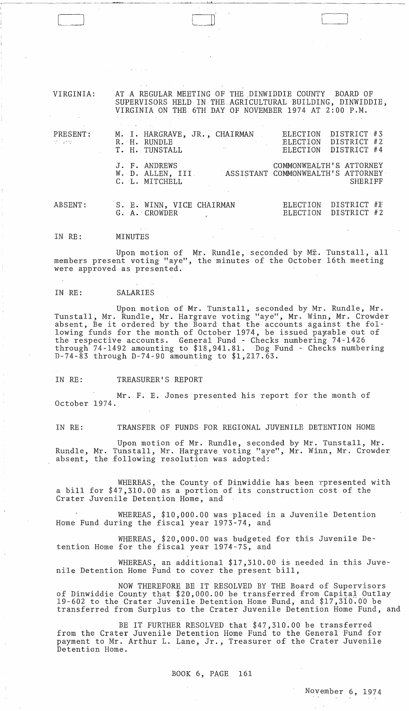VIRGINIA: PRESENT: AT A REGULAR MEETING OF THE DINWIDDIE COUNTY BOARD OF SUPERVISORS HELD IN THE.AGRICULTURAL BUILDING, DINWIDDIE, VIRGINIA ON THE 6TH DAY OF NOVEMBER 1974 AT 2:00 P.M. M. I. HARGRAVE, JR. , CHAIRMAN R. H. RUNDLE T. H. TUNSTALL J. F. ANDREWS W. D. ALLEN. III ELECTION DISTRICT #3<br>ELECTION DISTRICT #2 ELECTION DISTRICT #2<br>ELECTION DISTRICT #4 DISTRICT #4 COMMONWEALTH'£. ATTORNEY ASSISTANT COMMONWEALTH'S ATTORNEY

 $\Box$ 

ABSENT: S. E. WINN, VICE CHAIRMAN G. A. -CROWDER ELECTION ELECTION DISTRICT #F DISTRICT #2

IN RE: MINUTES

C. L. MITCHELL

Upon motion of  $Mr.$  Rundle, seconded by  $M\hat{x}$ . Tunstall, all members present voting "aye", the minutes of the October 16th meeting were approved as presented.

IN RE: SALARIES

Upon motion of Mr. Tunstall, seconded by Mr. Rundle, Mr. Tunstall, Mr. Rundle, Mr. Hargrave voting "aye", Mr. Winn, Mr. Crowder absent, Be it ordered by the Board that the accounts against the following funds for the month of October 1974, be issued payable out of the respective accounts. General Fund - Checks numbering 74-1426 through 74-1492 amounting to \$18,941.81. Dog Fund - Checks numbering D-74-83 through D-74-90 amounting to \$1,217.63.

IN RE: TREASURER'S REPORT

Mr. F. E. Jones presented his report for the month of October 1974.

IN RE: TRANSFER OF FUNDS FOR REGIONAL JUVENILE DETENTION HOME

Upon motion of Mr. Rundle, seconded by Mr. Tunstall, Mr. Rundle, Mr. Tunstall, Mr. Hargrave voting "aye", Mr. Winn, Mr. Crowder absent, the following resolution was adopted:

WHEREAS, the County of Dinwiddie has been rpresented with a bill for \$47,310.00 as a portion of its construction cost of the Crater Juvenile Detention Home, and

WHEREAS, \$10,000.00 was placed in a Juvenile Detention Home Fund during the fiscal year 1973-74, and

WHEREAS, \$20,000.00 was budgeted for this Juvenile Detention Home for the fiscal year 1974-75, and

WHEREAS, an additional \$17,310.00 is needed in this Juvenile Detention Home Fund to cover the present bill,

NOW THEREFORE. BE IT RESOLVED BY THE Board of Supervisors of Dinwiddie County that \$20,000.00 be transferred from Capital Outlay 19-602 to the Crater Juvenile Detention Home Bund, and  $$17,310.00$  be transferred from Surplus to the Crater Juvenile Detention Home Fund, and

BE IT FURTHER RESOLVED that \$47,310.00 be transferred from the Crater Juvenile Detention Home Fund to the General Fund for payment to Mr. Arthur L. Lane, Jr., Treasurer of the Crater Juvenile Detention Home.

BOOK 6, PAGE 161

November 6, 1974

SHERIFF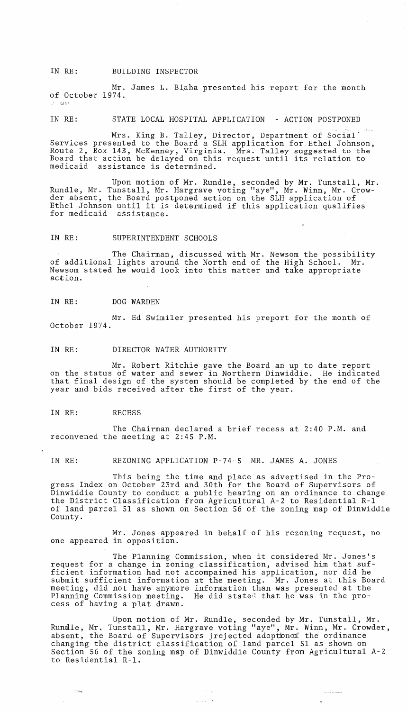IN RE: BUILDING INSPECTOR

Mr. James L. Blaha presented his report for the month of October 1974. *1..1* 1 <sup>~</sup>

IN RE: STATE LOCAL HOSPITAL APPLICATION - ACTION POSTPONED

Mrs. King B. Talley, Director, Department of Social ' Services presented to the Board a SLH application for Ethel Johnson, Route 2, Box 143, McKenney, Virginia. Mrs. Talley suggested to the Board that action be delayed on this request until its relation to medicaid assistance is determined.

Upon motion of Mr. Rundle, seconded by Mr. Tunstall, Mr. Rundle, Mr. Tunstall, Mr. Hargrave voting "aye", Mr. Winn, Mr. Crowder absent, the Board postponed action on the SLH application of Ethel Johnson until it is determined if this application qualifies for medicaid assistance.

#### IN RE: SUPERINTENDENT SCHOOLS

The Chairman, discussed with Mr. Newsom the possibility of additional lights around the North end of the High School. Mr. Newsom stated he would look into this matter and take appropriate action.

### IN RE: DOG WARDEN

Mr. Ed Swimiler presented his preport for the month of October 1974.

#### IN RE: DIRECTOR WATER AUTHORITY

Mr. Robert Ritchie gave the Board an up to date report on the status of water and sewer in Northern Dinwiddie. He indicated that final design of the system should be completed by the end of the year and bids received after the first of the year.

IN RE: RECESS

The Chairman declared a brief recess at 2:40 P.M. and reconvened the meeting at 2:45 P.M.

IN RE: REZONING APPLICATION P-74-5 MR. JAMES A. JONES

This being the time and place as advertised in the Progress Index on October 23rd and 30th for the Board of Supervisors of Dinwiddie County to conduct a public hearing on an ordinance to change the District Classification from Agricultural A-2 to Residential R-1 of land parcel 51 as shown on Section 56 of the zoning map of Dinwiddie County.

Mr. Jones appeared in behalf of his rezoning request, no one appeared in opposition.

The Planning Commission, when it considered Mr. Jones's request for a change in zoning classification, advised him that sufficient information had not accompained his application, nor did he submit sufficient information at the meeting. Mr. Jones at this Board meeting, did not have anymore information than was presented at the Planning Commission meeting. He did stated that he was in the process of having a plat drawn.

Upon motion of Mr. Rundle, seconded by Mr. Tunstall, Mr. Rundle, Mr. Tunstall, Mr. Hargrave voting "aye", Mr. Winn, Mr. Crowder, absent, the Board of Supervisors jrejected adoption of the ordinance changing the district classification of land parcel 51 as shown on Section 56 of the zoning map of Dinwiddie County from Agricultural A-2 to Residential R-l.

 $\cdots \cdots \cdots \cdots$ 

 $\sim 10^{11}$  km s  $^{-1}$ 

 $\omega$  ,  $\omega$  ,  $\omega$  ,  $\omega$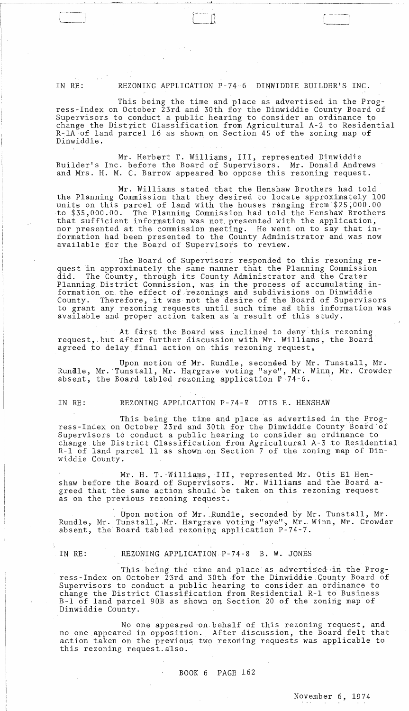IN RE: REZONING APPLICATION P-74-6 DINWIDDIE BUILDER'S INC.

 $\Box$ 

This being the time and place as advertised in the Progress-Index on October 23rd and 30th for the Dinwiddie County Board of Supervisors to conduct a public hearing to consider an ordinance to change the District Classification from Agricultural A-2 to Residential R-IA of· land parcel 16 as shown on Section 45 of the zoning map of Dinwiddie.

Mr. Herbert T. Williams, III, represented Dinwiddie Builder's Inc. before the Board of Supervisors. Mr. Donald Andrews and Mrs. H. M. C. Barrow appeared to oppose this rezoning request.

Mr. Williams stated that the Henshaw Brothers had told the Planning Commission that they desired to locate approximately 100 units on this parcel of land with the houses ranging from \$25;000.00 to \$35,000.00. The Planning Commission had told the Henshaw Brothers that sufficient information was not. presented with the application, nor presented at the commission meeting. He went on to say that information had been presented to the County Administrator and was now available for the Board of Supervisors to review.

The Board of Supervisors responded to this rezoning request in approximately the same manner that the Planning Commission<br>did. The County, through its County Administrator and the Crater The County, through its County Administrator and the Crater Planning District Commission, was in the process of accumulating information on the effect of rezonings and subdivisions on Dinwiddie<br>County. Therefore, it was not the desire of the Board of Supervis Therefore, it was not the desire of the Board of Supervisors to grant any rezoning requests until such time as this information was available and proper action taken as a result of this study.

At first the Board was inclined to deny this rezoning request,.but after further discussion with Mr. Williams, the Board' agreed to delay final action on this rezoning request,

Upon motion of Mr. Rundle, seconded by Mr. Tunstall, Mr. Runalle, Mr. 'Tunstall, Mr. Hargrave voting "aye", Mr. Winn, Mr. Crowder absent, the Board tabled rezoning application P-74-6.

IN RE: REZONING APPLICATION P-74-7 OTIS E. HENSHAW

This being the time and place as advertised in the Progress-Index on October 23rd and 30th for the Dinwiddie County Board'of Supervisors to conduct a public hearing to consider an ordinance to change the District Classification from Agricultural A-3to Residential R-l of land pareel 11 as shown .on Section 7 of the zoning map of Dinwiddie County.

Mr. H. T. Williams, III, represented Mr. Otis El Henshaw before the Board of Superiisors. Mr. Williams and the Board agreed that the same action should be taken on this rezoning request as on the previous rezoning request.

Upon motion of Mr. Rundle, seconded by Mr. Tunstall, Mr. Rundle, Mr. Tunstall, Mr. Hargrave voting "aye", Mr. Winn, Mr. Crowder absent, the Board tabled rezoning application P-74-7.

IN RE: REZONING APPLICATION P-74-8 B. W. JONES

This being the time and place as advertised in the Progress-Index on October 23rd and 30th for the Dinwiddie County Board of Supervisors to conduct a public hearing to consider an ordinance to change the District Classification from Residential R-l to Business B-1 of land parcel 90B as shown on Section 20 of the zoning map of Dinwiddie County.

No one appeared·on.behalf of this rezoning request, and no one appeared in opposition. After discussion, the Board felt that action taken on the previous two rezoning requests was applicable to this rezoning request. also.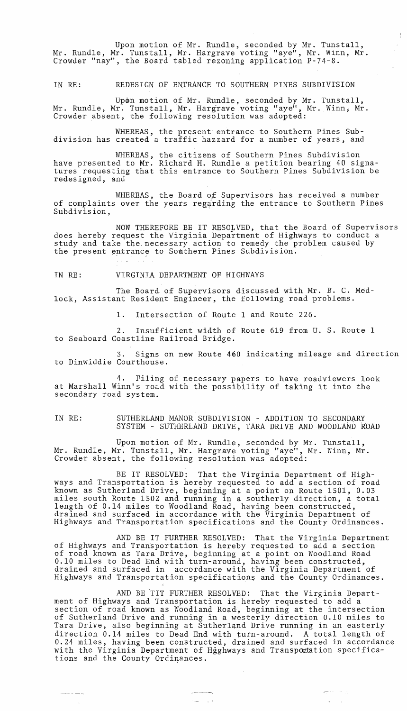Upon motion of Mr. Rundle, seconded by Mr. Tunstall, Mr. Rundle, Mr. Tunstall, Mr. Hargrave voting "aye", Mr. Winn, Mr. Crowder "nay", the Board tabled rezoning application P-74-S.

IN RE: REDESIGN OF ENTRANCE TO SOUTHERN PINES SUBDIVISION

Upon motion of Mr. Rundle, seconded by Mr. Tunstall, Mr. Rundle, Mr. Tunstall, Mr. Hargrave voting "aye", Mr. Winn, Mr. Crowder absent, the following resolution was adopted:

WHEREAS, the present entrance to Southern Pines Subdivision has created a traffic hazzard for a number of years, and

WHEREAS, the citizens of Southern Pines Subdivision have presented to Mr. Richard H. Rundle a petition bearing 40 signatures requesting that this entrance to Southern Pines Subdivision be redesigned, and

WHEREAS, the Board of Supervisors has received a number of complaints over the years regarding the entrance to Southern Pines Subdivision,

NOW THEREFORE BE IT RESOLVED, that the Board of Supervisors does hereby request the Virginia Department of Highways to conduct a study and take the necessary action to remedy the problem caused by the present entrance to Southern Pines Subdivision.

IN RE: VIRGINIA DEPARTMENT OF HIGHWAYS

The Board of Supervisors discussed with Mr. B. C. Medlock, Assistant Resident Engineer, the following road problems.

1. Intersection of Route 1 and Route 226.

2. Insufficient width of Route 619 from U. S. Route 1 to Seaboard Coastline Railroad Bridge.

3. Signs on new Route 460 indicating mileage and direction to Dinwiddie Courthouse.

4. Filing of necessary papers to have roadviewers look at Marshall Winn's road with the possibility of taking it into the secondary road system.

# IN RE: SUTHERLAND MANOR SUBDIVISION - ADDITION TO SECONDARY SYSTEM - SUTHERLAND DRIVE, TARA DRIVE AND WOODLAND ROAD

Upon motion of Mr. Rundle, seconded by Mr. Tunstall, Mr. Rundle, Mr. Tunstall, Mr. Hargrave voting "aye", Mr. Winn, Mr. Crowder absent, the following resolution was adopted:

BE IT RESOLVED: That the Virginia Department of Highways and Transportation is hereby requested to add a section of road known as Sutherland Drive, beginning at a point on Route 1501, 0.03 miles south Route 1502 and running in a southerly direction, a total length of 0.14 miles to Woodland Road, having been constructed, drained and surfaced in accordance with the Virginia Department of Highways and Transportation specifications and the County Ordinances.

AND BE IT FURTHER RESOLVED: That the Virginia Department of Highways and Transportation is hereby requested to add a section of road known as Tara Drive, beginning at a point on Woodland Road 0.10 miles to Dead End with turn-around, having been constructed, drained and surfaced in accordance with the Virginia Department of Highways and Transportation specifications and the County Ordinances.

AND BE TIT FURTHER RESOLVED: That the Virginia Department of Highways and Transportation is hereby requested to add a section of road known as Woodland Road, beginning at the intersection of Sutherland Drive and running in a westerly direction 0.10 miles to Tara Drive, also beginning at Sutherland Drive running in an easterly direction 0.14 miles to Dead End with turn-around. A total length of 0.24 miles, having been constructed, drained and surfaced in accordance with the Virginia Department of Hgghways and Transpactation specifications and the County Ordinances .

الروابط المحجم

 $\omega_{\rm{max}}$  .

 $\overline{\phantom{a}}$ 

 $\epsilon \equiv -\frac{1}{2} \left( \epsilon \right)$ 

 $- - - - - -$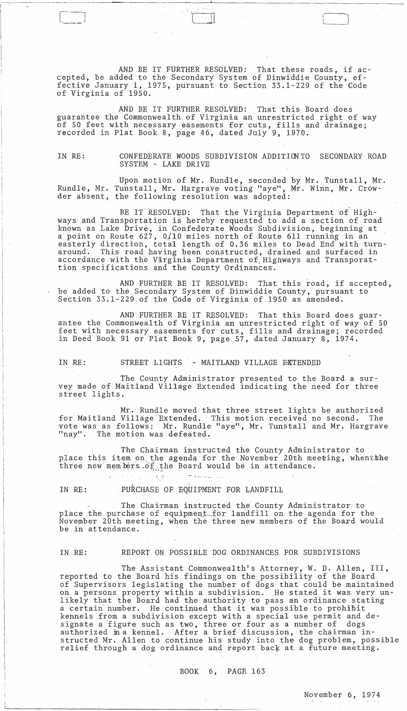AND .BE IT FURTHER RESOLVED: That these roads, if accepted, be added to the Secondary System of Dinwiddie County, effective January 1, 1975, pursuant to Section 33.1-229 of the Code of Virginia of 1950.

 $\overline{\phantom{a}}$ 

AND BE IT FURTHER RESOLVED: That this Board does guarantee the Commonwealth of Virginia an unrestricted right of way of 50 feet with necessary easements for cuts, fills and drainage; recorded in Plat Book 8, page 46, dated July 9, 1970.

IN RE: CONFEDERATE WOODS SUBDIVisION ADDITIONTO SECONDARY ROAD SYSTEM - LAKE DRIVE

Upon motion of Mr. Rundle, seconded by Mr. Tunstall, Mr. Rundle, Mr. Tunstall, Mr. Hargrave voting "aye", Mr. Winn, Mr. Crowder absent, the following resolution was adopted:

BE IT RESOLVED: That the Virginia Department of Highways and Transportation is hereby requested to add a section of road known as Lake Drive, in Confederate Woods Subdivision, beginning at a point on Route 627, 0/10 miles north of Route 611 running in an easterly direction, total length of 0.36 miles to Dead End with turn-<br>around. This road having been constructed, drained and surfaced in This road having been constructed, drained and surfaced in accordance with the Virginia Department of Highways and Transporattion specifications and the County Ordinances.

AND FURTHER BE IT RESOLVED: That this road, if accepted, be added to the Secondary System of Dinwiddie County, pursuant to Section 33.1-229 of the Code of Virginia of 1950 as amended.

AND FURTHER BE IT RESOLVED: That this Board does guarantee the Commonwealth of Virginia an unrestricted right of way of 50 feet with necessary easements for cuts, fills and drainage; recorded in Deed Book 91 or Plat Book 9, page 57, dated January 8, 1974.

IN RE: STREET LIGHTS - MAITLAND VILLAGE EXTENDED

The County Administrator presented to the Board a survey made of Maitland Village Extended indicating the need for three street lights.

Mr. Rundle moved that three street lights be authorized for Maitland Village'Extended, This motion received no second. The vote was as follows: Mr. Rundle "aye", Mr. Tunstall and Mr. Hargrave "nay". The motion was defeated.

The Chairman instructed the County Administrator to place this item on the agenda for the November 20th meeting, whentihe three new members  $\tilde{\sigma}$ , the Board would be in attendance.

IN RE: PURCHASE OF EQUIPMENT FOR LANDFILL

 $\mathcal{F}_1$  ,  $\mathcal{F}_2$ 

 $\sim$ 

The Chairman instructed the County Administrator to place the purchase of equipment for landfill on the agenda for the November 20th meeting, when the three new members of the Board would be in attendance.

IN RE: REPORT ON POSSIBLE DOG ORDINANCES FOR SUBDIVISIONS

The Assistant Commonwealth's Attorney, W. D. Allen, III, reported to the Board his £indings on the possibility of the Board of Supervisors legislating the number of dogs that couid be maintained on a persons property withjn a subdivision. He stated it was very unlikely that the Board had the authority to pass an ordinance stating a certain'number. He continued that it was possible to prohibit kennels from a subdivision except with a special use permit and designate a figure such as two, three or four as a number of dogs authorized fua kennel. After a brief discussion, the chairman instructed Mr. Allen to continue his study into the dog problem, possible relief through a dog ordinance and report back at a future meeting.

# BOOK 6, PAGE 163

 $\mathcal{O}_{\mathbb{Z}/4}$ 

November 6, 1974